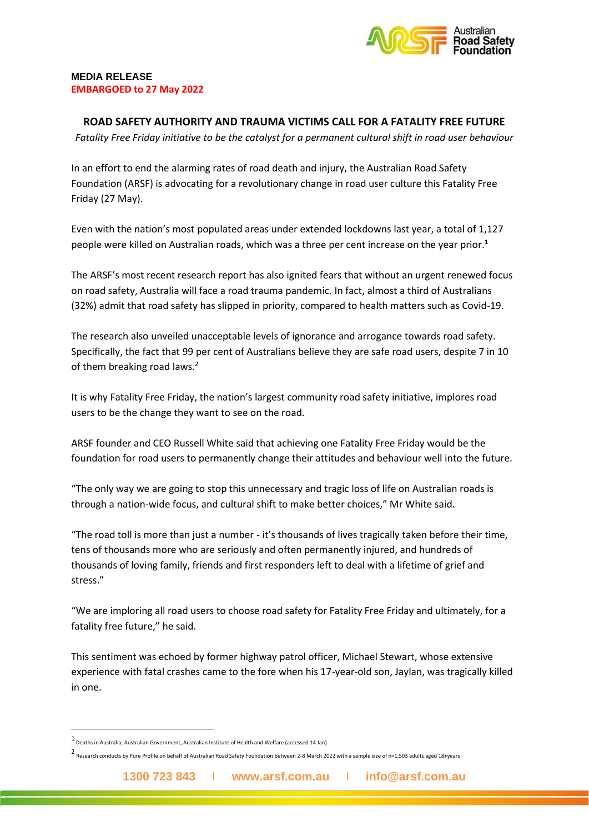

## **MEDIA RELEASE EMBARGOED to 27 May 2022**

## **ROAD SAFETY AUTHORITY AND TRAUMA VICTIMS CALL FOR A FATALITY FREE FUTURE**

*Fatality Free Friday initiative to be the catalyst for a permanent cultural shift in road user behaviour*

In an effort to end the alarming rates of road death and injury, the Australian Road Safety Foundation (ARSF) is advocating for a revolutionary change in road user culture this Fatality Free Friday (27 May).

Even with the nation's most populated areas under extended lockdowns last year, a total of 1,127 people were killed on Australian roads, which was a three per cent increase on the year prior.**<sup>1</sup>**

The ARSF's most recent research report has also ignited fears that without an urgent renewed focus on road safety, Australia will face a road trauma pandemic. In fact, almost a third of Australians (32%) admit that road safety has slipped in priority, compared to health matters such as Covid-19.

The research also unveiled unacceptable levels of ignorance and arrogance towards road safety. Specifically, the fact that 99 per cent of Australians believe they are safe road users, despite 7 in 10 of them breaking road laws.<sup>2</sup>

It is why Fatality Free Friday, the nation's largest community road safety initiative, implores road users to be the change they want to see on the road.

ARSF founder and CEO Russell White said that achieving one Fatality Free Friday would be the foundation for road users to permanently change their attitudes and behaviour well into the future.

"The only way we are going to stop this unnecessary and tragic loss of life on Australian roads is through a nation-wide focus, and cultural shift to make better choices," Mr White said.

"The road toll is more than just a number - it's thousands of lives tragically taken before their time, tens of thousands more who are seriously and often permanently injured, and hundreds of thousands of loving family, friends and first responders left to deal with a lifetime of grief and stress."

"We are imploring all road users to choose road safety for Fatality Free Friday and ultimately, for a fatality free future," he said.

This sentiment was echoed by former highway patrol officer, Michael Stewart, whose extensive experience with fatal crashes came to the fore when his 17-year-old son, Jaylan, was tragically killed in one.

<sup>1</sup> [Deaths in Australia,](https://www.aihw.gov.au/reports/life-expectancy-death/deaths-in-australia/contents/leading-causes-of-death) Australian Government, Australian Institute of Health and Welfare (accessed 14 Jan)

<sup>2</sup> Research conducts by Pure Profile on behalf of Australian Road Safety Foundation between 2-8 March 2022 with a sample size of n=1,503 adults aged 18+years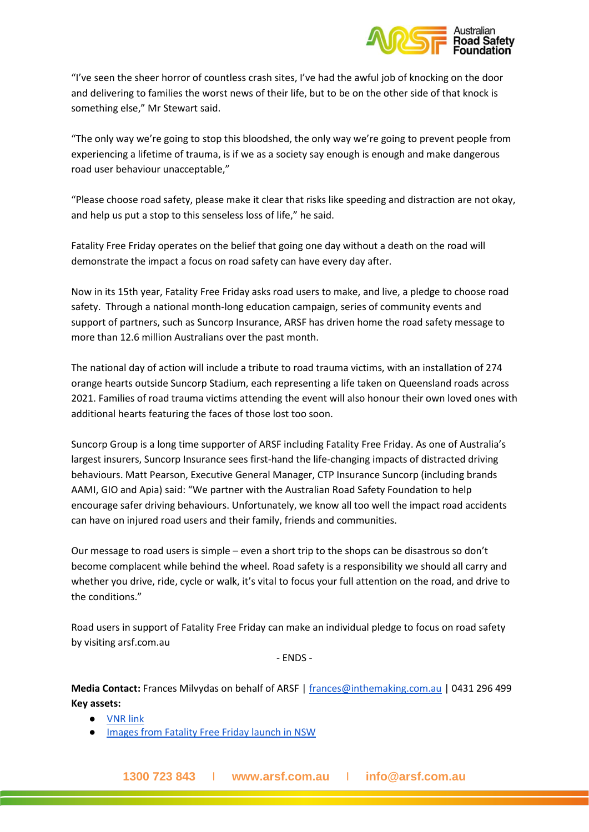

"I've seen the sheer horror of countless crash sites, I've had the awful job of knocking on the door and delivering to families the worst news of their life, but to be on the other side of that knock is something else," Mr Stewart said.

"The only way we're going to stop this bloodshed, the only way we're going to prevent people from experiencing a lifetime of trauma, is if we as a society say enough is enough and make dangerous road user behaviour unacceptable,"

"Please choose road safety, please make it clear that risks like speeding and distraction are not okay, and help us put a stop to this senseless loss of life," he said.

Fatality Free Friday operates on the belief that going one day without a death on the road will demonstrate the impact a focus on road safety can have every day after.

Now in its 15th year, Fatality Free Friday asks road users to make, and live, a pledge to choose road safety. Through a national month-long education campaign, series of community events and support of partners, such as Suncorp Insurance, ARSF has driven home the road safety message to more than 12.6 million Australians over the past month.

The national day of action will include a tribute to road trauma victims, with an installation of 274 orange hearts outside Suncorp Stadium, each representing a life taken on Queensland roads across 2021. Families of road trauma victims attending the event will also honour their own loved ones with additional hearts featuring the faces of those lost too soon.

Suncorp Group is a long time supporter of ARSF including Fatality Free Friday. As one of Australia's largest insurers, Suncorp Insurance sees first-hand the life-changing impacts of distracted driving behaviours. Matt Pearson, Executive General Manager, CTP Insurance Suncorp (including brands AAMI, GIO and Apia) said: "We partner with the Australian Road Safety Foundation to help encourage safer driving behaviours. Unfortunately, we know all too well the impact road accidents can have on injured road users and their family, friends and communities.

Our message to road users is simple – even a short trip to the shops can be disastrous so don't become complacent while behind the wheel. Road safety is a responsibility we should all carry and whether you drive, ride, cycle or walk, it's vital to focus your full attention on the road, and drive to the conditions."

Road users in support of Fatality Free Friday can make an individual pledge to focus on road safety by visiting arsf.com.au

- ENDS -

**Media Contact:** Frances Milvydas on behalf of ARSF [| frances@inthemaking.com.au](mailto:frances@inthemaking.com.au) | 0431 296 499 **Key assets:**

- [VNR link](https://www.dropbox.com/s/ld20sf05zk95gj8/FFF22_VNR270422_NAT_V1.mp4?dl=0)
- [Images from Fatality Free Friday launch in NSW](https://drive.google.com/drive/folders/1euS1yx59FGb9lgB3bjeltKH7-EX9KRRu?usp=sharing)